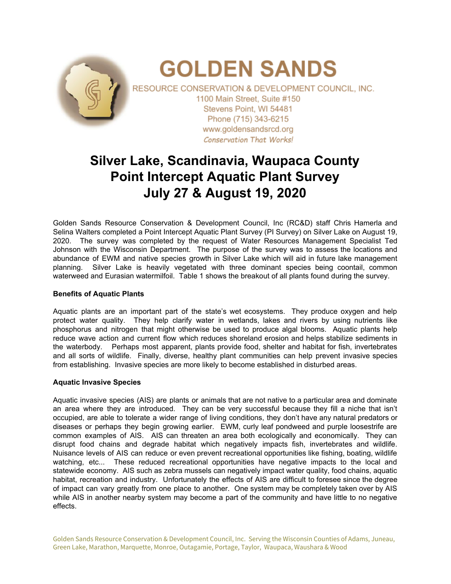

# **Silver Lake, Scandinavia, Waupaca County Point Intercept Aquatic Plant Survey July 27 & August 19, 2020**

Golden Sands Resource Conservation & Development Council, Inc (RC&D) staff Chris Hamerla and Selina Walters completed a Point Intercept Aquatic Plant Survey (PI Survey) on Silver Lake on August 19, 2020. The survey was completed by the request of Water Resources Management Specialist Ted Johnson with the Wisconsin Department. The purpose of the survey was to assess the locations and abundance of EWM and native species growth in Silver Lake which will aid in future lake management planning. Silver Lake is heavily vegetated with three dominant species being coontail, common waterweed and Eurasian watermilfoil. Table 1 shows the breakout of all plants found during the survey.

### **Benefits of Aquatic Plants**

Aquatic plants are an important part of the state's wet ecosystems. They produce oxygen and help protect water quality. They help clarify water in wetlands, lakes and rivers by using nutrients like phosphorus and nitrogen that might otherwise be used to produce algal blooms. Aquatic plants help reduce wave action and current flow which reduces shoreland erosion and helps stabilize sediments in the waterbody. Perhaps most apparent, plants provide food, shelter and habitat for fish, invertebrates and all sorts of wildlife. Finally, diverse, healthy plant communities can help prevent invasive species from establishing. Invasive species are more likely to become established in disturbed areas.

### **Aquatic Invasive Species**

Aquatic invasive species (AIS) are plants or animals that are not native to a particular area and dominate an area where they are introduced. They can be very successful because they fill a niche that isn't occupied, are able to tolerate a wider range of living conditions, they don't have any natural predators or diseases or perhaps they begin growing earlier. EWM, curly leaf pondweed and purple loosestrife are common examples of AIS. AIS can threaten an area both ecologically and economically. They can disrupt food chains and degrade habitat which negatively impacts fish, invertebrates and wildlife. Nuisance levels of AIS can reduce or even prevent recreational opportunities like fishing, boating, wildlife watching, etc... These reduced recreational opportunities have negative impacts to the local and statewide economy. AIS such as zebra mussels can negatively impact water quality, food chains, aquatic habitat, recreation and industry. Unfortunately the effects of AIS are difficult to foresee since the degree of impact can vary greatly from one place to another. One system may be completely taken over by AIS while AIS in another nearby system may become a part of the community and have little to no negative effects.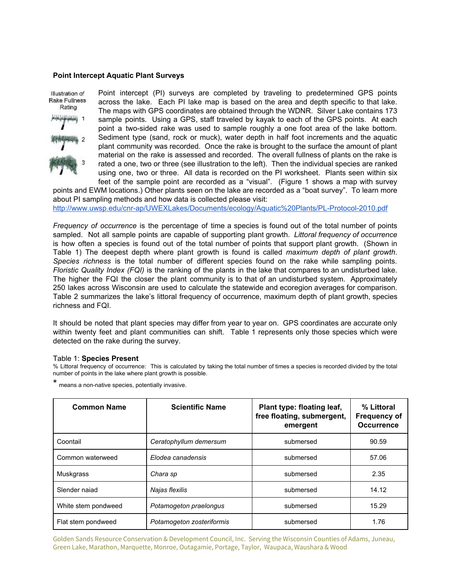### **Point Intercept Aquatic Plant Surveys**

# Illustration of Rake Fullness Rating

Point intercept (PI) surveys are completed by traveling to predetermined GPS points across the lake. Each PI lake map is based on the area and depth specific to that lake. The maps with GPS coordinates are obtained through the WDNR. Silver Lake contains 173 sample points. Using a GPS, staff traveled by kayak to each of the GPS points. At each point a two-sided rake was used to sample roughly a one foot area of the lake bottom. Sediment type (sand, rock or muck), water depth in half foot increments and the aquatic plant community was recorded. Once the rake is brought to the surface the amount of plant material on the rake is assessed and recorded. The overall fullness of plants on the rake is rated a one, two or three (see illustration to the left). Then the individual species are ranked using one, two or three. All data is recorded on the PI worksheet. Plants seen within six feet of the sample point are recorded as a "visual". (Figure 1 shows a map with survey

points and EWM locations.) Other plants seen on the lake are recorded as a "boat survey". To learn more about PI sampling methods and how data is collected please visit: <http://www.uwsp.edu/cnr-ap/UWEXLakes/Documents/ecology/Aquatic%20Plants/PL-Protocol-2010.pdf>

*Frequency of occurrence* is the percentage of time a species is found out of the total number of points sampled. Not all sample points are capable of supporting plant growth. *Littoral frequency of occurrence* is how often a species is found out of the total number of points that support plant growth. (Shown in Table 1) The deepest depth where plant growth is found is called *maximum depth of plant growth*. *Species richness* is the total number of different species found on the rake while sampling points. *Floristic Quality Index (FQI)* is the ranking of the plants in the lake that compares to an undisturbed lake. The higher the FQI the closer the plant community is to that of an undisturbed system. Approximately 250 lakes across Wisconsin are used to calculate the statewide and ecoregion averages for comparison. Table 2 summarizes the lake's littoral frequency of occurrence, maximum depth of plant growth, species richness and FQI.

It should be noted that plant species may differ from year to year on. GPS coordinates are accurate only within twenty feet and plant communities can shift. Table 1 represents only those species which were detected on the rake during the survey.

#### Table 1: **Species Present**

% Littoral frequency of occurrence: This is calculated by taking the total number of times a species is recorded divided by the total number of points in the lake where plant growth is possible.

\* means <sup>a</sup> non-native species, potentially invasive.

| <b>Common Name</b>  | <b>Scientific Name</b>    | Plant type: floating leaf,<br>free floating, submergent,<br>emergent | % Littoral<br><b>Frequency of</b><br><b>Occurrence</b> |
|---------------------|---------------------------|----------------------------------------------------------------------|--------------------------------------------------------|
| Coontail            | Ceratophyllum demersum    | submersed                                                            | 90.59                                                  |
| Common waterweed    | Elodea canadensis         | submersed                                                            | 57.06                                                  |
| Muskgrass           | Chara sp                  | submersed                                                            | 2.35                                                   |
| Slender najad       | Najas flexilis            | submersed                                                            | 14.12                                                  |
| White stem pondweed | Potamogeton praelongus    | submersed                                                            | 15.29                                                  |
| Flat stem pondweed  | Potamogeton zosteriformis | submersed                                                            | 1.76                                                   |

Golden Sands Resource Conservation & Development Council, Inc. Serving the Wisconsin Counties of Adams, Juneau, Green Lake, Marathon, Marquette, Monroe, Outagamie, Portage, Taylor, Waupaca, Waushara & Wood